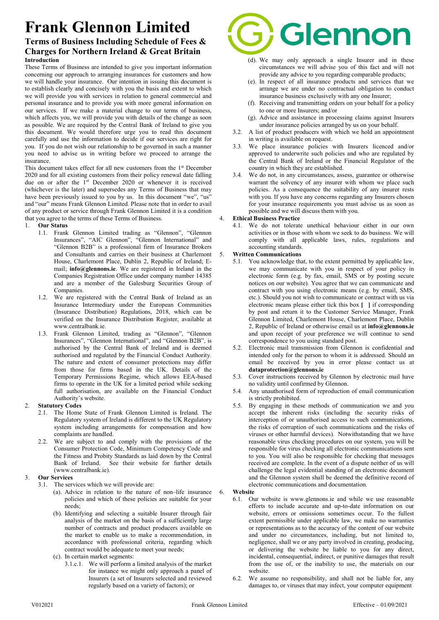# Frank Glennon Limited

# Terms of Business Including Schedule of Fees & Charges for Northern Ireland & Great Britain Introduction

These Terms of Business are intended to give you important information concerning our approach to arranging insurances for customers and how we will handle your insurance. Our intention in issuing this document is to establish clearly and concisely with you the basis and extent to which we will provide you with services in relation to general commercial and personal insurance and to provide you with more general information on our services. If we make a material change to our terms of business, which affects you, we will provide you with details of the change as soon as possible. We are required by the Central Bank of Ireland to give you this document. We would therefore urge you to read this document carefully and use the information to decide if our services are right for you. If you do not wish our relationship to be governed in such a manner you need to advise us in writing before we proceed to arrange the insurance.

This document takes effect for all new customers from the 1<sup>st</sup> December 2020 and for all existing customers from their policy renewal date falling due on or after the 1<sup>st</sup> December 2020 or whenever it is received (whichever is the later) and supersedes any Terms of Business that may have been previously issued to you by us. In this document "we", "us" and "our" means Frank Glennon Limited. Please note that in order to avail of any product or service through Frank Glennon Limited it is a condition that you agree to the terms of these Terms of Business.

- 1. Our Status
	- 1.1. Frank Glennon Limited trading as "Glennon", "Glennon Insurances", "AIC Glennon", "Glennon International" and "Glennon B2B" is a professional firm of Insurance Brokers and Consultants and carries on their business at Charlemont House, Charlemont Place, Dublin 2, Republic of Ireland; Email; info@glennons.ie. We are registered in Ireland in the Companies Registration Office under company number 14385 and are a member of the Galesburg Securities Group of Companies.
	- 1.2. We are registered with the Central Bank of Ireland as an Insurance Intermediary under the European Communities (Insurance Distribution) Regulations, 2018, which can be verified on the Insurance Distribution Register, available at www.centralbank.ie.
	- 1.3. Frank Glennon Limited, trading as "Glennon", "Glennon Insurances", "Glennon International", and "Glennon B2B", is authorised by the Central Bank of Ireland and is deemed authorised and regulated by the Financial Conduct Authority. The nature and extent of consumer protections may differ from those for firms based in the UK. Details of the Temporary Permissions Regime, which allows EEA-based firms to operate in the UK for a limited period while seeking full authorisation, are available on the Financial Conduct Authority's website.

# 2. Statutory Codes

- 2.1. The Home State of Frank Glennon Limited is Ireland. The Regulatory system of Ireland is different to the UK Regulatory system including arrangements for compensation and how complaints are handled.
- 2.2. We are subject to and comply with the provisions of the Consumer Protection Code, Minimum Competency Code and the Fitness and Probity Standards as laid down by the Central Bank of Ireland. See their website for further details (www.centralbank.ie).

# 3. Our Services

- 3.1. The services which we will provide are:
	- (a). Advice in relation to the nature of non–life insurance policies and which of these policies are suitable for your needs;
	- (b). Identifying and selecting a suitable Insurer through fair analysis of the market on the basis of a sufficiently large number of contracts and product producers available on the market to enable us to make a recommendation, in accordance with professional criteria, regarding which contract would be adequate to meet your needs;
	- (c). In certain market segments:
		- 3.1.c.1. We will perform a limited analysis of the market for instance we might only approach a panel of Insurers (a set of Insurers selected and reviewed regularly based on a variety of factors); or



- (d). We may only approach a single Insurer and in these circumstances we will advise you of this fact and will not provide any advice to you regarding comparable products;
- (e). In respect of all insurance products and services that we arrange we are under no contractual obligation to conduct insurance business exclusively with any one Insurer;
- (f). Receiving and transmitting orders on your behalf for a policy to one or more Insurers; and/or
- (g). Advice and assistance in processing claims against Insurers under insurance policies arranged by us on your behalf.
- 3.2. A list of product producers with which we hold an appointment in writing is available on request.
- 3.3. We place insurance policies with Insurers licenced and/or approved to underwrite such policies and who are regulated by the Central Bank of Ireland or the Financial Regulator of the country in which they are established.
- 3.4. We do not, in any circumstances, assess, guarantee or otherwise warrant the solvency of any insurer with whom we place such policies. As a consequence the suitability of any insurer rests with you. If you have any concerns regarding any Insurers chosen for your insurance requirements you must advise us as soon as possible and we will discuss them with you.

# 4. Ethical Business Practice

4.1. We do not tolerate unethical behaviour either in our own activities or in those with whom we seek to do business. We will comply with all applicable laws, rules, regulations and accounting standards.

# 5. Written Communications

- 5.1. You acknowledge that, to the extent permitted by applicable law, we may communicate with you in respect of your policy in electronic form (e.g. by fax, email, SMS or by posting secure notices on our website). You agree that we can communicate and contract with you using electronic means (e.g. by email, SMS, etc.). Should you not wish to communicate or contract with us via electronic means please either tick this box [ ] if corresponding by post and return it to the Customer Service Manager, Frank Glennon Limited, Charlemont House, Charlemont Place, Dublin 2, Republic of Ireland or otherwise email us at info@glennons.ie and upon receipt of your preference we will continue to send correspondence to you using standard post.
- 5.2. Electronic mail transmission from Glennon is confidential and intended only for the person to whom it is addressed. Should an email be received by you in error please contact us at dataprotection@glennons.ie
- 5.3. Cover instructions received by Glennon by electronic mail have no validity until confirmed by Glennon.
- 5.4. Any unauthorised form of reproduction of email communication is strictly prohibited.
- 5.5. By engaging in these methods of communication we and you accept the inherent risks (including the security risks of interception of or unauthorised access to such communications, the risks of corruption of such communications and the risks of viruses or other harmful devices). Notwithstanding that we have reasonable virus checking procedures on our system, you will be responsible for virus checking all electronic communications sent to you. You will also be responsible for checking that messages received are complete. In the event of a dispute neither of us will challenge the legal evidential standing of an electronic document and the Glennon system shall be deemed the definitive record of electronic communications and documentation.
- 6. Website
	- 6.1. Our website is www.glennons.ie and while we use reasonable efforts to include accurate and up-to-date information on our website, errors or omissions sometimes occur. To the fullest extent permissible under applicable law, we make no warranties or representations as to the accuracy of the content of our website and under no circumstances, including, but not limited to, negligence, shall we or any party involved in creating, producing, or delivering the website be liable to you for any direct, incidental, consequential, indirect, or punitive damages that result from the use of, or the inability to use, the materials on our website.
	- 6.2. We assume no responsibility, and shall not be liable for, any damages to, or viruses that may infect, your computer equipment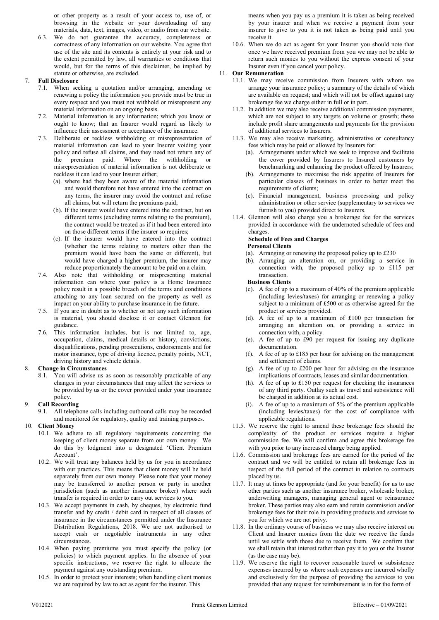or other property as a result of your access to, use of, or browsing in the website or your downloading of any materials, data, text, images, video, or audio from our website.

6.3. We do not guarantee the accuracy, completeness or correctness of any information on our website. You agree that use of the site and its contents is entirely at your risk and to the extent permitted by law, all warranties or conditions that would, but for the terms of this disclaimer, be implied by statute or otherwise, are excluded.

# 7. Full Disclosure

- 7.1. When seeking a quotation and/or arranging, amending or renewing a policy the information you provide must be true in every respect and you must not withhold or misrepresent any material information on an ongoing basis.
- 7.2. Material information is any information; which you know or ought to know; that an Insurer would regard as likely to influence their assessment or acceptance of the insurance.
- 7.3. Deliberate or reckless withholding or misrepresentation of material information can lead to your Insurer voiding your policy and refuse all claims, and they need not return any of the premium paid. Where the withholding or misrepresentation of material information is not deliberate or reckless it can lead to your Insurer either;
	- (a). where had they been aware of the material information and would therefore not have entered into the contract on any terms, the insurer may avoid the contract and refuse all claims, but will return the premiums paid;
	- (b). If the insurer would have entered into the contract, but on different terms (excluding terms relating to the premium), the contract would be treated as if it had been entered into on those different terms if the insurer so requires;
	- (c). If the insurer would have entered into the contract (whether the terms relating to matters other than the premium would have been the same or different), but would have charged a higher premium, the insurer may reduce proportionately the amount to be paid on a claim.
- 7.4. Also note that withholding or mispresenting material information can where your policy is a Home Insurance policy result in a possible breach of the terms and conditions attaching to any loan secured on the property as well as impact on your ability to purchase insurance in the future.
- 7.5. If you are in doubt as to whether or not any such information is material, you should disclose it or contact Glennon for guidance.
- 7.6. This information includes, but is not limited to, age, occupation, claims, medical details or history, convictions, disqualifications, pending prosecutions, endorsements and for motor insurance, type of driving licence, penalty points, NCT, driving history and vehicle details.

# 8. Change in Circumstances

8.1. You will advise us as soon as reasonably practicable of any changes in your circumstances that may affect the services to be provided by us or the cover provided under your insurance policy.

# 9. Call Recording

9.1. All telephone calls including outbound calls may be recorded and monitored for regulatory, quality and training purposes.

# 10. Client Money

- 10.1. We adhere to all regulatory requirements concerning the keeping of client money separate from our own money. We do this by lodgment into a designated 'Client Premium Account'.
- 10.2. We will treat any balances held by us for you in accordance with our practices. This means that client money will be held separately from our own money. Please note that your money may be transferred to another person or party in another jurisdiction (such as another insurance broker) where such transfer is required in order to carry out services to you.
- 10.3. We accept payments in cash, by cheques, by electronic fund transfer and by credit / debit card in respect of all classes of insurance in the circumstances permitted under the Insurance Distribution Regulations, 2018. We are not authorised to accept cash or negotiable instruments in any other circumstances.
- 10.4. When paying premiums you must specify the policy (or policies) to which payment applies. In the absence of your specific instructions, we reserve the right to allocate the payment against any outstanding premium.
- 10.5. In order to protect your interests; when handling client monies we are required by law to act as agent for the insurer. This

means when you pay us a premium it is taken as being received by your insurer and when we receive a payment from your insurer to give to you it is not taken as being paid until you receive it.

10.6. When we do act as agent for your Insurer you should note that once we have received premium from you we may not be able to return such monies to you without the express consent of your Insurer even if you cancel your policy.

# 11. Our Remuneration

- 11.1. We may receive commission from Insurers with whom we arrange your insurance policy; a summary of the details of which are available on request; and which will not be offset against any brokerage fee we charge either in full or in part.
- 11.2. In addition we may also receive additional commission payments, which are not subject to any targets on volume or growth; these include profit share arrangements and payments for the provision of additional services to Insurers.
- 11.3. We may also receive marketing, administrative or consultancy fees which may be paid or allowed by Insurers for:
	- (a). Arrangements under which we seek to improve and facilitate the cover provided by Insurers to Insured customers by benchmarking and enhancing the product offered by Insurers;
	- (b). Arrangements to maximise the risk appetite of Insurers for particular classes of business in order to better meet the requirements of clients;
	- (c). Financial management, business processing and policy administration or other service (supplementary to services we furnish to you) provided direct to Insurers.
- 11.4. Glennon will also charge you a brokerage fee for the services provided in accordance with the undernoted schedule of fees and charges.

# Schedule of Fees and Charges

#### Personal Clients

- (a). Arranging or renewing the proposed policy up to £230
- (b). Arranging an alteration on, or providing a service in connection with, the proposed policy up to £115 per transaction.

#### Business Clients

- (c). A fee of up to a maximum of 40% of the premium applicable (including levies/taxes) for arranging or renewing a policy subject to a minimum of £500 or as otherwise agreed for the product or services provided.
- (d). A fee of up to a maximum of £100 per transaction for arranging an alteration on, or providing a service in connection with, a policy.
- (e). A fee of up to £90 per request for issuing any duplicate documentation.
- (f). A fee of up to £185 per hour for advising on the management and settlement of claims.
- (g). A fee of up to £200 per hour for advising on the insurance implications of contracts, leases and similar documentation.
- (h). A fee of up to £150 per request for checking the insurances of any third party. Outlay such as travel and subsistence will be charged in addition at its actual cost.
- (i). A fee of up to a maximum of 5% of the premium applicable (including levies/taxes) for the cost of compliance with applicable regulations.
- 11.5. We reserve the right to amend these brokerage fees should the complexity of the product or services require a higher commission fee. We will confirm and agree this brokerage fee with you prior to any increased charge being applied.
- 11.6. Commission and brokerage fees are earned for the period of the contract and we will be entitled to retain all brokerage fees in respect of the full period of the contract in relation to contracts placed by us.
- 11.7. It may at times be appropriate (and for your benefit) for us to use other parties such as another insurance broker, wholesale broker, underwriting managers, managing general agent or reinsurance broker. These parties may also earn and retain commission and/or brokerage fees for their role in providing products and services to you for which we are not privy.
- 11.8. In the ordinary course of business we may also receive interest on Client and Insurer monies from the date we receive the funds until we settle with those due to receive them. We confirm that we shall retain that interest rather than pay it to you or the Insurer (as the case may be).
- 11.9. We reserve the right to recover reasonable travel or subsistence expenses incurred by us where such expenses are incurred wholly and exclusively for the purpose of providing the services to you provided that any request for reimbursement is in for the form of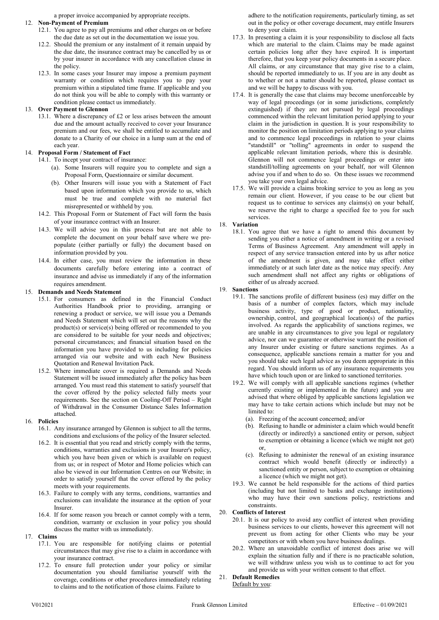a proper invoice accompanied by appropriate receipts.

#### 12. Non-Payment of Premium

- 12.1. You agree to pay all premiums and other charges on or before the due date as set out in the documentation we issue you.
- 12.2. Should the premium or any instalment of it remain unpaid by the due date, the insurance contract may be cancelled by us or by your insurer in accordance with any cancellation clause in the policy.
- 12.3. In some cases your Insurer may impose a premium payment warranty or condition which requires you to pay your premium within a stipulated time frame. If applicable and you do not think you will be able to comply with this warranty or condition please contact us immediately.

# 13. Over Payment to Glennon

13.1. Where a discrepancy of £2 or less arises between the amount due and the amount actually received to cover your Insurance premium and our fees, we shall be entitled to accumulate and donate to a Charity of our choice in a lump sum at the end of each year.

# 14. Proposal Form / Statement of Fact

14.1. To incept your contract of insurance:

- (a). Some Insurers will require you to complete and sign a Proposal Form, Questionnaire or similar document.
- (b). Other Insurers will issue you with a Statement of Fact based upon information which you provide to us, which must be true and complete with no material fact misrepresented or withheld by you.
- 14.2. This Proposal Form or Statement of Fact will form the basis of your insurance contract with an Insurer.
- 14.3. We will advise you in this process but are not able to complete the document on your behalf save where we prepopulate (either partially or fully) the document based on information provided by you.
- 14.4. In either case, you must review the information in these documents carefully before entering into a contract of insurance and advise us immediately if any of the information requires amendment.

#### 15. Demands and Needs Statement

- 15.1. For consumers as defined in the Financial Conduct Authorities Handbook prior to providing, arranging or renewing a product or service, we will issue you a Demands and Needs Statement which will set out the reasons why the product(s) or service(s) being offered or recommended to you are considered to be suitable for your needs and objectives; personal circumstances; and financial situation based on the information you have provided to us including for policies arranged via our website and with each New Business Quotation and Renewal Invitation Pack.
- 15.2. Where immediate cover is required a Demands and Needs Statement will be issued immediately after the policy has been arranged. You must read this statement to satisfy yourself that the cover offered by the policy selected fully meets your requirements. See the section on Cooling-Off Period – Right of Withdrawal in the Consumer Distance Sales Information attached.

#### 16. Policies

- 16.1. Any insurance arranged by Glennon is subject to all the terms, conditions and exclusions of the policy of the Insurer selected.
- 16.2. It is essential that you read and strictly comply with the terms, conditions, warranties and exclusions in your Insurer's policy, which you have been given or which is available on request from us; or in respect of Motor and Home policies which can also be viewed in our Information Centres on our Website; in order to satisfy yourself that the cover offered by the policy meets with your requirements.
- 16.3. Failure to comply with any terms, conditions, warranties and exclusions can invalidate the insurance at the option of your Insurer.
- 16.4. If for some reason you breach or cannot comply with a term, condition, warranty or exclusion in your policy you should discuss the matter with us immediately.

#### 17. Claims

- 17.1. You are responsible for notifying claims or potential circumstances that may give rise to a claim in accordance with your insurance contract.
- 17.2. To ensure full protection under your policy or similar documentation you should familiarise yourself with the coverage, conditions or other procedures immediately relating to claims and to the notification of those claims. Failure to

adhere to the notification requirements, particularly timing, as set out in the policy or other coverage document, may entitle Insurers to deny your claim.

- 17.3. In presenting a claim it is your responsibility to disclose all facts which are material to the claim. Claims may be made against certain policies long after they have expired. It is important therefore, that you keep your policy documents in a secure place. All claims, or any circumstance that may give rise to a claim, should be reported immediately to us. If you are in any doubt as to whether or not a matter should be reported, please contact us and we will be happy to discuss with you.
- 17.4. It is generally the case that claims may become unenforceable by way of legal proceedings (or in some jurisdictions, completely extinguished) if they are not pursued by legal proceedings commenced within the relevant limitation period applying to your claim in the jurisdiction in question. It is your responsibility to monitor the position on limitation periods applying to your claims and to commence legal proceedings in relation to your claims "standstill" or "tolling" agreements in order to suspend the applicable relevant limitation periods, where this is desirable. Glennon will not commence legal proceedings or enter into standstill/tolling agreements on your behalf, nor will Glennon advise you if and when to do so. On these issues we recommend you take your own legal advice.
- 17.5. We will provide a claims broking service to you as long as you remain our client. However, if you cease to be our client but request us to continue to services any claims(s) on your behalf, we reserve the right to charge a specified fee to you for such services.

#### 18. Variation

18.1. You agree that we have a right to amend this document by sending you either a notice of amendment in writing or a revised Terms of Business Agreement. Any amendment will apply in respect of any service transaction entered into by us after notice of the amendment is given, and may take effect either immediately or at such later date as the notice may specify. Any such amendment shall not affect any rights or obligations of either of us already accrued.

#### 19. Sanctions

- 19.1. The sanctions profile of different business (es) may differ on the basis of a number of complex factors, which may include business activity, type of good or product, nationality, ownership, control, and geographical location(s) of the parties involved. As regards the applicability of sanctions regimes, we are unable in any circumstances to give you legal or regulatory advice, nor can we guarantee or otherwise warrant the position of any Insurer under existing or future sanctions regimes. As a consequence, applicable sanctions remain a matter for you and you should take such legal advice as you deem appropriate in this regard. You should inform us of any insurance requirements you have which touch upon or are linked to sanctioned territories.
- 19.2. We will comply with all applicable sanctions regimes (whether currently existing or implemented in the future) and you are advised that where obliged by applicable sanctions legislation we may have to take certain actions which include but may not be limited to:
	- (a). Freezing of the account concerned; and/or
	- (b). Refusing to handle or administer a claim which would benefit (directly or indirectly) a sanctioned entity or person, subject to exemption or obtaining a licence (which we might not get) or,
	- (c). Refusing to administer the renewal of an existing insurance contract which would benefit (directly or indirectly) a sanctioned entity or person, subject to exemption or obtaining a licence (which we might not get).
- 19.3. We cannot be held responsible for the actions of third parties (including but not limited to banks and exchange institutions) who may have their own sanctions policy, restrictions and constraints.

# 20. Conflicts of Interest

- 20.1. It is our policy to avoid any conflict of interest when providing business services to our clients, however this agreement will not prevent us from acting for other Clients who may be your competitors or with whom you have business dealings.
- 20.2. Where an unavoidable conflict of interest does arise we will explain the situation fully and if there is no practicable solution, we will withdraw unless you wish us to continue to act for you and provide us with your written consent to that effect.

# 21. Default Remedies

Default by you: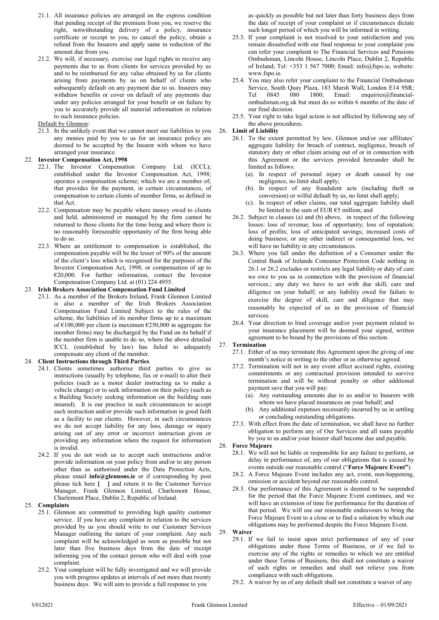- 21.1. All insurance policies are arranged on the express condition that pending receipt of the premium from you, we reserve the right, notwithstanding delivery of a policy, insurance certificate or receipt to you, to cancel the policy, obtain a refund from the Insurers and apply same in reduction of the amount due from you.
- 21.2. We will, if necessary, exercise our legal rights to receive any payments due to us from clients for services provided by us and to be reimbursed for any value obtained by us for clients arising from payments by us on behalf of clients who subsequently default on any payment due to us. Insurers may withdraw benefits or cover on default of any payments due under any policies arranged for your benefit or on failure by you to accurately provide all material information in relation to such insurance policies.

#### Default by Glennon:

21.3. In the unlikely event that we cannot meet our liabilities to you any monies paid by you to us for an insurance policy are deemed to be accepted by the Insurer with whom we have arranged your insurance.

#### 22. Investor Compensation Act, 1998

- 22.1. The Investor Compensation Company Ltd. (ICCL); established under the Investor Compensation Act, 1998; operates a compensation scheme; which we are a member of; that provides for the payment, in certain circumstances, of compensation to certain clients of member firms, as defined in that Act.
- 22.2. Compensation may be payable where money owed to clients and held, administered or managed by the firm cannot be returned to those clients for the time being and where there is no reasonably foreseeable opportunity of the firm being able to do so.
- 22.3. Where an entitlement to compensation is established, the compensation payable will be the lesser of 90% of the amount of the client's loss which is recognised for the purposes of the Investor Compensation Act, 1998; or compensation of up to €20,000. For further information, contact the Investor Compensation Company Ltd. at (01) 224 4955.

#### 23. Irish Brokers Association Compensation Fund Limited

23.1. As a member of the Brokers Ireland, Frank Glennon Limited is also a member of the Irish Brokers Association Compensation Fund Limited Subject to the rules of the scheme, the liabilities of its member firms up to a maximum of €100,000 per client (a maximum €250,000 in aggregate for member firms) may be discharged by the Fund on its behalf if the member firm is unable to do so, where the above detailed ICCL (established by law) has failed to adequately compensate any client of the member.

# 24. Client Instructions through Third Parties

- 24.1. Clients sometimes authorise third parties to give us instructions (usually by telephone, fax or e-mail) to alter their policies (such as a motor dealer instructing us to make a vehicle change) or to seek information on their policy (such as a Building Society seeking information on the building sum insured). It is our practice in such circumstances to accept such instruction and/or provide such information in good faith as a facility to our clients. However, in such circumstances we do not accept liability for any loss, damage or injury arising out of any error or incorrect instruction given or providing any information where the request for information is invalid.
- 24.2. If you do not wish us to accept such instructions and/or provide information on your policy from and/or to any person other than as authorised under the Data Protection Acts, please email info@glennons.ie or if corresponding by post please tick here [ ] and return it to the Customer Service Manager, Frank Glennon Limited, Charlemont House, Charlemont Place, Dublin 2, Republic of Ireland.

# 25. Complaints

- 25.1. Glennon are committed to providing high quality customer service. If you have any complaint in relation to the services provided by us you should write to our Customer Services Manager outlining the nature of your complaint. Any such complaint will be acknowledged as soon as possible but not later than five business days from the date of receipt informing you of the contact person who will deal with your complaint.
- 25.2. Your complaint will be fully investigated and we will provide you with progress updates at intervals of not more than twenty business days. We will aim to provide a full response to you

as quickly as possible but not later than forty business days from the date of receipt of your complaint or if circumstances dictate such longer period of which you will be informed in writing.

- 25.3. If your complaint is not resolved to your satisfaction and you remain dissatisfied with our final response to your complaint you can refer your complaint to The Financial Services and Pensions Ombudsman, Lincoln House, Lincoln Place, Dublin 2, Republic of Ireland; Tel:  $+353$  1 567 7000; Email: info@fspo.ie, website: www.fspo.ie.
- 25.4. You may also refer your complaint to the Financial Ombudsman Service, South Quay Plaza, 183 Marsh Wall, London E14 9SR; Tel 0845 080 1800; Email: enquiries@financialombudsman.org.uk but must do so within 6 months of the date of our final decision.
- 25.5. Your right to take legal action is not affected by following any of the above procedures.

#### 26. Limit of Liability

- 26.1. To the extent permitted by law, Glennon and/or our affiliates' aggregate liability for breach of contract, negligence, breach of statutory duty or other claim arising out of or in connection with this Agreement or the services provided hereunder shall be limited as follows:
	- (a). In respect of personal injury or death caused by our negligence, no limit shall apply;
	- (b). In respect of any fraudulent acts (including theft or conversion) or wilful default by us, no limit shall apply;
	- (c). In respect of other claims, our total aggregate liability shall be limited to the sum of EUR €5 million; and
- 26.2. Subject to clauses (a) and (b) above, in respect of the following losses: loss of revenue; loss of opportunity; loss of reputation; loss of profits; loss of anticipated savings; increased costs of doing business; or any other indirect or consequential loss, we will have no liability in any circumstances.
- 26.3. Where you fall under the definition of a Consumer under the Central Bank of Irelands Consumer Protection Code nothing in 26.1 or 26.2 excludes or restricts any legal liability or duty of care we owe to you us in connection with the provision of financial services.; any duty we have to act with due skill, care and diligence on your behalf; or any liability owed for failure to exercise the degree of skill, care and diligence that may reasonably be expected of us in the provision of financial services.
- 26.4. Your direction to bind coverage and/or your payment related to your insurance placement will be deemed your signed, written agreement to be bound by the provisions of this section.

#### 27. Termination

- 27.1. Either of us may terminate this Agreement upon the giving of one month's notice in writing to the other or as otherwise agreed.
- 27.2. Termination will not in any event affect accrued rights, existing commitments or any contractual provision intended to survive termination and will be without penalty or other additional payment save that you will pay:
	- (a). Any outstanding amounts due to us and/or to Insurers with whom we have placed insurances on your behalf; and
	- (b). Any additional expenses necessarily incurred by us in settling or concluding outstanding obligations.
- 27.3. With effect from the date of termination, we shall have no further obligation to perform any of Our Services and all sums payable by you to us and/or your Insurer shall become due and payable.

# 28. Force Majeure

- 28.1. We will not be liable or responsible for any failure to perform, or delay in performance of, any of our obligations that is caused by events outside our reasonable control ("Force Majeure Event").
- 28.2. A Force Majeure Event includes any act, event, non-happening, omission or accident beyond our reasonable control.
- 28.3. Our performance of this Agreement is deemed to be suspended for the period that the Force Majeure Event continues, and we will have an extension of time for performance for the duration of that period. We will use our reasonable endeavours to bring the Force Majeure Event to a close or to find a solution by which our obligations may be performed despite the Force Majeure Event. 29. Waiver
	- 29.1. If we fail to insist upon strict performance of any of your obligations under these Terms of Business, or if we fail to exercise any of the rights or remedies to which we are entitled under these Terms of Business, this shall not constitute a waiver of such rights or remedies and shall not relieve you from compliance with such obligations.
	- 29.2. A waiver by us of any default shall not constitute a waiver of any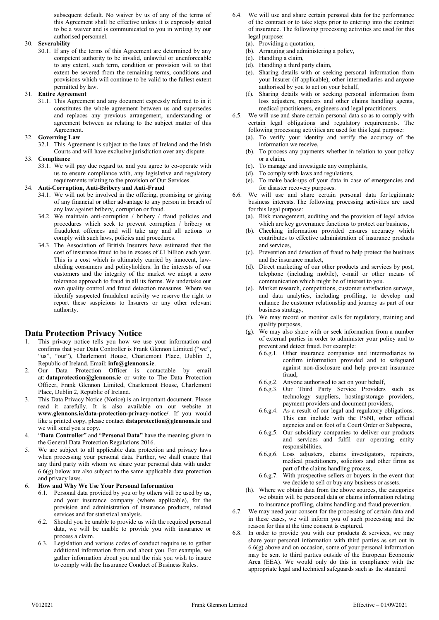subsequent default. No waiver by us of any of the terms of this Agreement shall be effective unless it is expressly stated to be a waiver and is communicated to you in writing by our authorised personnel.

# 30. Severability

30.1. If any of the terms of this Agreement are determined by any competent authority to be invalid, unlawful or unenforceable to any extent, such term, condition or provision will to that extent be severed from the remaining terms, conditions and provisions which will continue to be valid to the fullest extent permitted by law.

#### 31. Entire Agreement

31.1. This Agreement and any document expressly referred to in it constitutes the whole agreement between us and supersedes and replaces any previous arrangement, understanding or agreement between us relating to the subject matter of this Agreement.

#### 32. Governing Law

32.1. This Agreement is subject to the laws of Ireland and the Irish Courts and will have exclusive jurisdiction over any dispute.

#### 33. Compliance

33.1. We will pay due regard to, and you agree to co-operate with us to ensure compliance with, any legislative and regulatory requirements relating to the provision of Our Services.

#### 34. Anti-Corruption, Anti-Bribery and Anti-Fraud

- 34.1. We will not be involved in the offering, promising or giving of any financial or other advantage to any person in breach of any law against bribery, corruption or fraud.
- 34.2. We maintain anti-corruption / bribery / fraud policies and procedures which seek to prevent corruption / bribery or fraudulent offences and will take any and all actions to comply with such laws, policies and procedures.
- 34.3. The Association of British Insurers have estimated that the cost of insurance fraud to be in excess of £1 billion each year. This is a cost which is ultimately carried by innocent, lawabiding consumers and policyholders. In the interests of our customers and the integrity of the market we adopt a zero tolerance approach to fraud in all its forms. We undertake our own quality control and fraud detection measures. Where we identify suspected fraudulent activity we reserve the right to report these suspicions to Insurers or any other relevant authority.

# Data Protection Privacy Notice

- 1. This privacy notice tells you how we use your information and confirms that your Data Controller is Frank Glennon Limited ("we", "us", "our"), Charlemont House, Charlemont Place, Dublin 2, Republic of Ireland. Email: info@glennons.ie.
- 2. Our Data Protection Officer is contactable by email at: dataprotection@glennons.ie or write to The Data Protection Officer, Frank Glennon Limited, Charlemont House, Charlemont Place, Dublin 2, Republic of Ireland.
- 3. This Data Privacy Notice (Notice) is an important document. Please read it carefully. It is also available on our website at www.glennons.ie/data-protection-privacy-notice/. If you would like a printed copy, please contact dataprotection@glennons.ie and we will send you a copy.
- 4. "Data Controller" and "Personal Data" have the meaning given in the General Data Protection Regulations 2016.
- 5. We are subject to all applicable data protection and privacy laws when processing your personal data. Further, we shall ensure that any third party with whom we share your personal data with under  $6.6(g)$  below are also subject to the same applicable data protection and privacy laws.

# 6. How and Why We Use Your Personal Information

- 6.1. Personal data provided by you or by others will be used by us, and your insurance company (where applicable), for the provision and administration of insurance products, related services and for statistical analysis.
- 6.2. Should you be unable to provide us with the required personal data, we will be unable to provide you with insurance or process a claim.
- 6.3. Legislation and various codes of conduct require us to gather additional information from and about you. For example, we gather information about you and the risk you wish to insure to comply with the Insurance Conduct of Business Rules.
- 6.4. We will use and share certain personal data for the performance of the contract or to take steps prior to entering into the contract of insurance. The following processing activities are used for this legal purpose:
	- (a). Providing a quotation,
	- (b). Arranging and administering a policy,
	- (c). Handling a claim,
	- (d). Handling a third party claim,
	- (e). Sharing details with or seeking personal information from your Insurer (if applicable), other intermediaries and anyone authorised by you to act on your behalf,
	- (f). Sharing details with or seeking personal information from loss adjusters, repairers and other claims handling agents, medical practitioners, engineers and legal practitioners.
- 6.5. We will use and share certain personal data so as to comply with certain legal obligations and regulatory requirements. The following processing activities are used for this legal purpose:
	- (a). To verify your identity and verify the accuracy of the information we receive,
	- (b). To process any payments whether in relation to your policy or a claim,
	- (c). To manage and investigate any complaints,
	- (d). To comply with laws and regulations,
	- (e). To make back-ups of your data in case of emergencies and for disaster recovery purposes.
- 6.6. We will use and share certain personal data for legitimate business interests. The following processing activities are used for this legal purpose:
	- (a). Risk management, auditing and the provision of legal advice which are key governance functions to protect our business,
	- (b). Checking information provided ensures accuracy which contributes to effective administration of insurance products and services,
	- (c). Prevention and detection of fraud to help protect the business and the insurance market,
	- (d). Direct marketing of our other products and services by post, telephone (including mobile), e-mail or other means of communication which might be of interest to you.
	- (e). Market research, competitions, customer satisfaction surveys, and data analytics, including profiling, to develop and enhance the customer relationship and journey as part of our business strategy,
	- (f). We may record or monitor calls for regulatory, training and quality purposes,
	- (g). We may also share with or seek information from a number of external parties in order to administer your policy and to prevent and detect fraud. For example:
		- 6.6.g.1. Other insurance companies and intermediaries to confirm information provided and to safeguard against non-disclosure and help prevent insurance fraud,
		- 6.6.g.2. Anyone authorised to act on your behalf,
		- 6.6.g.3. Our Third Party Service Providers such as technology suppliers, hosting/storage providers, payment providers and document providers,
		- 6.6.g.4. As a result of our legal and regulatory obligations. This can include with the PSNI, other official agencies and on foot of a Court Order or Subpoena,
		- 6.6.g.5. Our subsidiary companies to deliver our products and services and fulfil our operating entity responsibilities.
		- 6.6.g.6. Loss adjusters, claims investigators, repairers, medical practitioners, solicitors and other firms as part of the claims handling process,
		- 6.6.g.7. With prospective sellers or buyers in the event that we decide to sell or buy any business or assets.
	- (h). Where we obtain data from the above sources, the categories we obtain will be personal data or claims information relating to insurance profiling, claims handling and fraud prevention.
- 6.7. We may need your consent for the processing of certain data and in these cases, we will inform you of such processing and the reason for this at the time consent is captured.
- 6.8. In order to provide you with our products  $\&$  services, we may share your personal information with third parties as set out in 6.6(g) above and on occasion, some of your personal information may be sent to third parties outside of the European Economic Area (EEA). We would only do this in compliance with the appropriate legal and technical safeguards such as the standard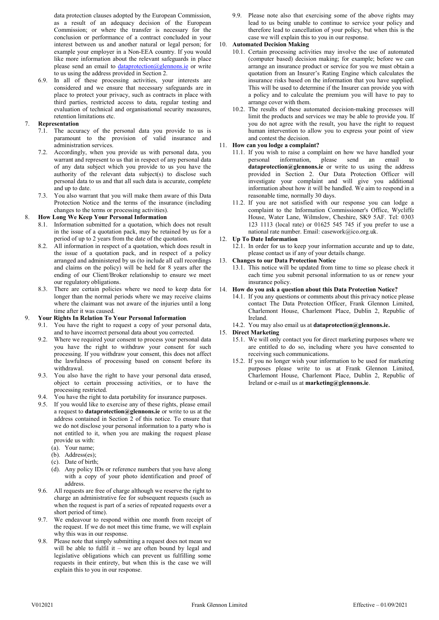data protection clauses adopted by the European Commission, as a result of an adequacy decision of the European Commission; or where the transfer is necessary for the conclusion or performance of a contract concluded in your interest between us and another natural or legal person; for example your employer in a Non-EEA country. If you would like more information about the relevant safeguards in place please send an email to dataprotection@glennons.ie or write to us using the address provided in Section 2.

6.9. In all of these processing activities, your interests are considered and we ensure that necessary safeguards are in place to protect your privacy, such as contracts in place with third parties, restricted access to data, regular testing and evaluation of technical and organisational security measures, retention limitations etc.

# 7. Representation

- 7.1. The accuracy of the personal data you provide to us is paramount to the provision of valid insurance and administration services.
- 7.2. Accordingly, when you provide us with personal data, you warrant and represent to us that in respect of any personal data of any data subject which you provide to us you have the authority of the relevant data subject(s) to disclose such personal data to us and that all such data is accurate, complete and up to date.
- 7.3. You also warrant that you will make them aware of this Data Protection Notice and the terms of the insurance (including changes to the terms or processing activities).

# 8. How Long We Keep Your Personal Information

- 8.1. Information submitted for a quotation, which does not result in the issue of a quotation pack, may be retained by us for a period of up to 2 years from the date of the quotation.
- 8.2. All information in respect of a quotation, which does result in the issue of a quotation pack, and in respect of a policy arranged and administered by us (to include all call recordings and claims on the policy) will be held for 8 years after the ending of our Client/Broker relationship to ensure we meet our regulatory obligations.
- 8.3. There are certain policies where we need to keep data for longer than the normal periods where we may receive claims where the claimant was not aware of the injuries until a long time after it was caused.

# 9. Your Rights In Relation To Your Personal Information

- 9.1. You have the right to request a copy of your personal data, and to have incorrect personal data about you corrected.
- 9.2. Where we required your consent to process your personal data you have the right to withdraw your consent for such processing. If you withdraw your consent, this does not affect the lawfulness of processing based on consent before its withdrawal.
- 9.3. You also have the right to have your personal data erased, object to certain processing activities, or to have the processing restricted.
- 9.4. You have the right to data portability for insurance purposes.
- 9.5. If you would like to exercise any of these rights, please email a request to **dataprotection@glennons.ie** or write to us at the address contained in Section 2 of this notice. To ensure that we do not disclose your personal information to a party who is not entitled to it, when you are making the request please provide us with:
	- (a). Your name;
	- (b). Address(es);
	- (c). Date of birth;
	- (d). Any policy IDs or reference numbers that you have along with a copy of your photo identification and proof of address.
- 9.6. All requests are free of charge although we reserve the right to charge an administrative fee for subsequent requests (such as when the request is part of a series of repeated requests over a short period of time).
- 9.7. We endeavour to respond within one month from receipt of the request. If we do not meet this time frame, we will explain why this was in our response.
- 9.8. Please note that simply submitting a request does not mean we will be able to fulfil it – we are often bound by legal and legislative obligations which can prevent us fulfilling some requests in their entirety, but when this is the case we will explain this to you in our response.

9.9. Please note also that exercising some of the above rights may lead to us being unable to continue to service your policy and therefore lead to cancellation of your policy, but when this is the case we will explain this to you in our response.

# 10. Automated Decision Making

- 10.1. Certain processing activities may involve the use of automated (computer based) decision making; for example; before we can arrange an insurance product or service for you we must obtain a quotation from an Insurer's Rating Engine which calculates the insurance risks based on the information that you have supplied. This will be used to determine if the Insurer can provide you with a policy and to calculate the premium you will have to pay to arrange cover with them.
- 10.2. The results of these automated decision-making processes will limit the products and services we may be able to provide you. If you do not agree with the result, you have the right to request human intervention to allow you to express your point of view and contest the decision.

# 11. How can you lodge a complaint?

- 11.1. If you wish to raise a complaint on how we have handled your personal information, please send an email to dataprotection@glennons.ie or write to us using the address provided in Section 2. Our Data Protection Officer will investigate your complaint and will give you additional information about how it will be handled. We aim to respond in a reasonable time, normally 30 days.
- 11.2. If you are not satisfied with our response you can lodge a complaint to the Information Commissioner's Office, Wycliffe House, Water Lane, Wilmslow, Cheshire, SK9 5AF. Tel: 0303 123 1113 (local rate) or 01625 545 745 if you prefer to use a national rate number. Email: casework@ico.org.uk.

# 12. Up To Date Information

12.1. In order for us to keep your information accurate and up to date, please contact us if any of your details change.

# 13. Changes to our Data Protection Notice

13.1. This notice will be updated from time to time so please check it each time you submit personal information to us or renew your insurance policy.

# 14. How do you ask a question about this Data Protection Notice?

14.1. If you any questions or comments about this privacy notice please contact The Data Protection Officer, Frank Glennon Limited, Charlemont House, Charlemont Place, Dublin 2, Republic of Ireland.

# 14.2. You may also email us at dataprotection@glennons.ie.

- 15. Direct Marketing
	- 15.1. We will only contact you for direct marketing purposes where we are entitled to do so, including where you have consented to receiving such communications.
	- 15.2. If you no longer wish your information to be used for marketing purposes please write to us at Frank Glennon Limited, Charlemont House, Charlemont Place, Dublin 2, Republic of Ireland or e-mail us at marketing@glennons.ie.